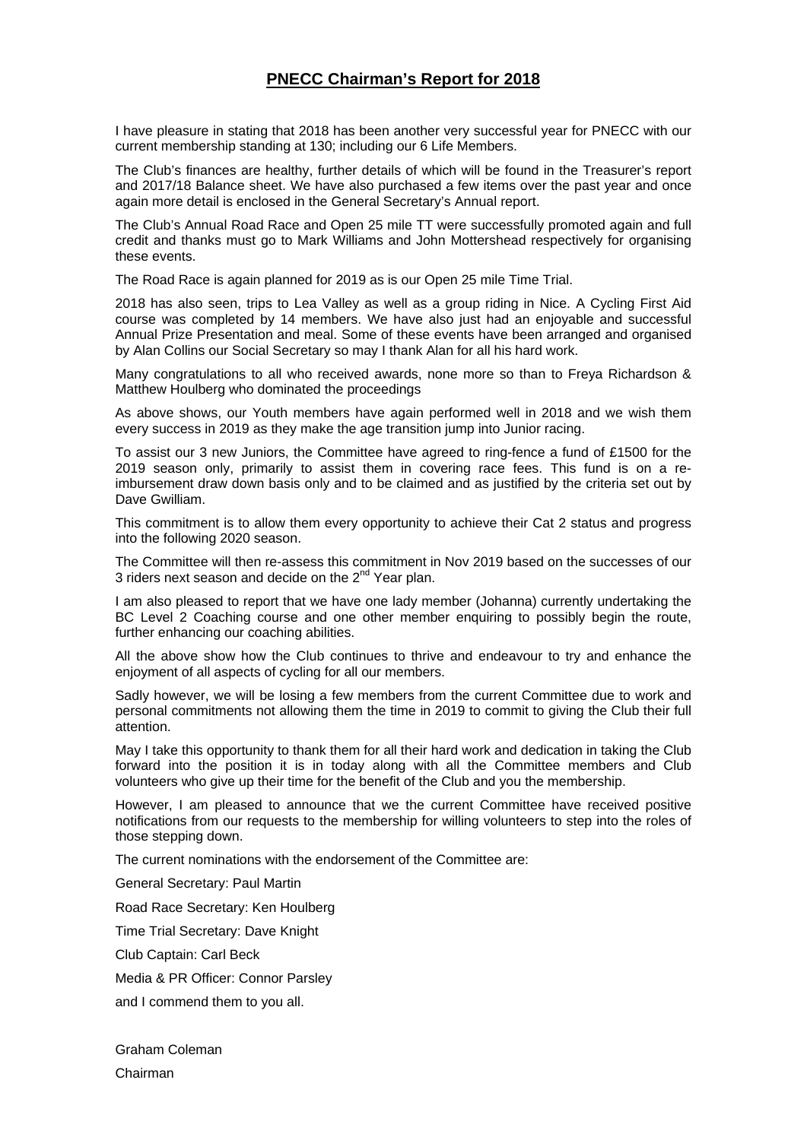## **PNECC Chairman's Report for 2018**

I have pleasure in stating that 2018 has been another very successful year for PNECC with our current membership standing at 130; including our 6 Life Members.

The Club's finances are healthy, further details of which will be found in the Treasurer's report and 2017/18 Balance sheet. We have also purchased a few items over the past year and once again more detail is enclosed in the General Secretary's Annual report.

The Club's Annual Road Race and Open 25 mile TT were successfully promoted again and full credit and thanks must go to Mark Williams and John Mottershead respectively for organising these events.

The Road Race is again planned for 2019 as is our Open 25 mile Time Trial.

2018 has also seen, trips to Lea Valley as well as a group riding in Nice. A Cycling First Aid course was completed by 14 members. We have also just had an enjoyable and successful Annual Prize Presentation and meal. Some of these events have been arranged and organised by Alan Collins our Social Secretary so may I thank Alan for all his hard work.

Many congratulations to all who received awards, none more so than to Freya Richardson & Matthew Houlberg who dominated the proceedings

As above shows, our Youth members have again performed well in 2018 and we wish them every success in 2019 as they make the age transition jump into Junior racing.

To assist our 3 new Juniors, the Committee have agreed to ring-fence a fund of £1500 for the 2019 season only, primarily to assist them in covering race fees. This fund is on a reimbursement draw down basis only and to be claimed and as justified by the criteria set out by Dave Gwilliam.

This commitment is to allow them every opportunity to achieve their Cat 2 status and progress into the following 2020 season.

The Committee will then re-assess this commitment in Nov 2019 based on the successes of our 3 riders next season and decide on the 2<sup>nd</sup> Year plan.

I am also pleased to report that we have one lady member (Johanna) currently undertaking the BC Level 2 Coaching course and one other member enquiring to possibly begin the route, further enhancing our coaching abilities.

All the above show how the Club continues to thrive and endeavour to try and enhance the enjoyment of all aspects of cycling for all our members.

Sadly however, we will be losing a few members from the current Committee due to work and personal commitments not allowing them the time in 2019 to commit to giving the Club their full attention.

May I take this opportunity to thank them for all their hard work and dedication in taking the Club forward into the position it is in today along with all the Committee members and Club volunteers who give up their time for the benefit of the Club and you the membership.

However, I am pleased to announce that we the current Committee have received positive notifications from our requests to the membership for willing volunteers to step into the roles of those stepping down.

The current nominations with the endorsement of the Committee are:

General Secretary: Paul Martin

Road Race Secretary: Ken Houlberg

Time Trial Secretary: Dave Knight

Club Captain: Carl Beck

Media & PR Officer: Connor Parsley

and I commend them to you all.

Graham Coleman Chairman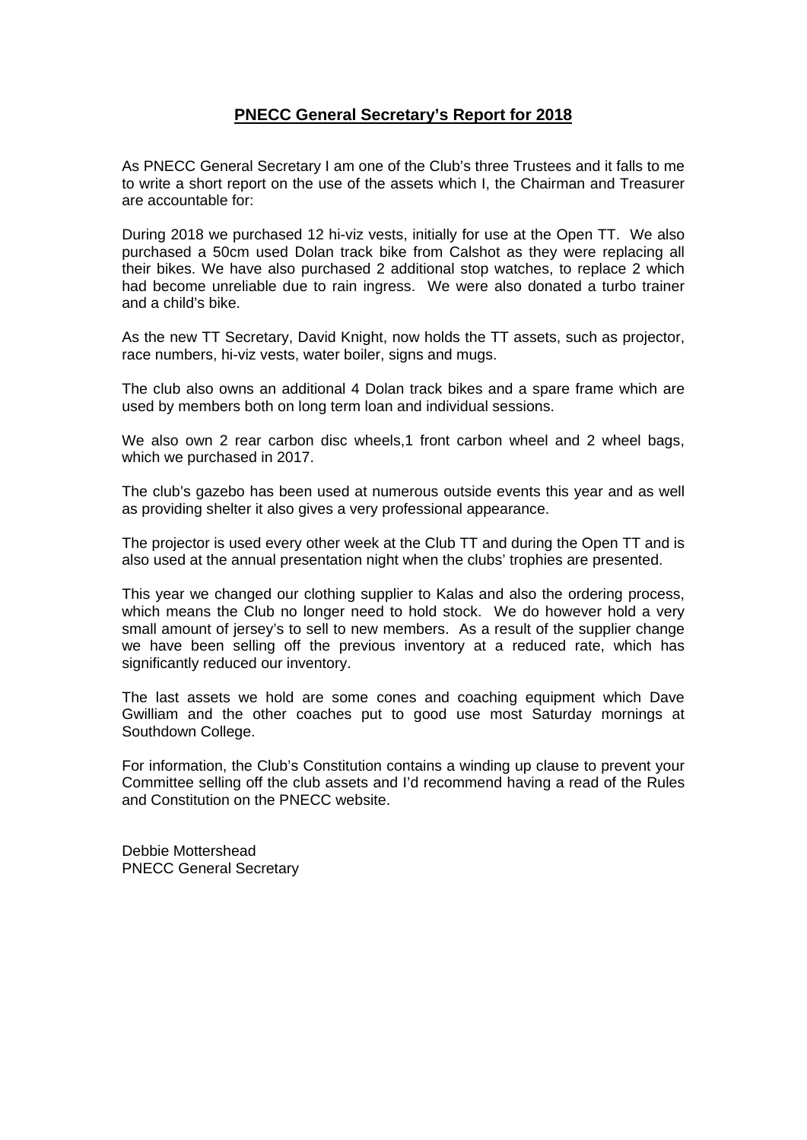## **PNECC General Secretary's Report for 2018**

As PNECC General Secretary I am one of the Club's three Trustees and it falls to me to write a short report on the use of the assets which I, the Chairman and Treasurer are accountable for:

During 2018 we purchased 12 hi-viz vests, initially for use at the Open TT. We also purchased a 50cm used Dolan track bike from Calshot as they were replacing all their bikes. We have also purchased 2 additional stop watches, to replace 2 which had become unreliable due to rain ingress. We were also donated a turbo trainer and a child's bike.

As the new TT Secretary, David Knight, now holds the TT assets, such as projector, race numbers, hi-viz vests, water boiler, signs and mugs.

The club also owns an additional 4 Dolan track bikes and a spare frame which are used by members both on long term loan and individual sessions.

We also own 2 rear carbon disc wheels,1 front carbon wheel and 2 wheel bags, which we purchased in 2017.

The club's gazebo has been used at numerous outside events this year and as well as providing shelter it also gives a very professional appearance.

The projector is used every other week at the Club TT and during the Open TT and is also used at the annual presentation night when the clubs' trophies are presented.

This year we changed our clothing supplier to Kalas and also the ordering process, which means the Club no longer need to hold stock. We do however hold a very small amount of jersey's to sell to new members. As a result of the supplier change we have been selling off the previous inventory at a reduced rate, which has significantly reduced our inventory.

The last assets we hold are some cones and coaching equipment which Dave Gwilliam and the other coaches put to good use most Saturday mornings at Southdown College.

For information, the Club's Constitution contains a winding up clause to prevent your Committee selling off the club assets and I'd recommend having a read of the Rules and Constitution on the PNECC website.

Debbie Mottershead PNECC General Secretary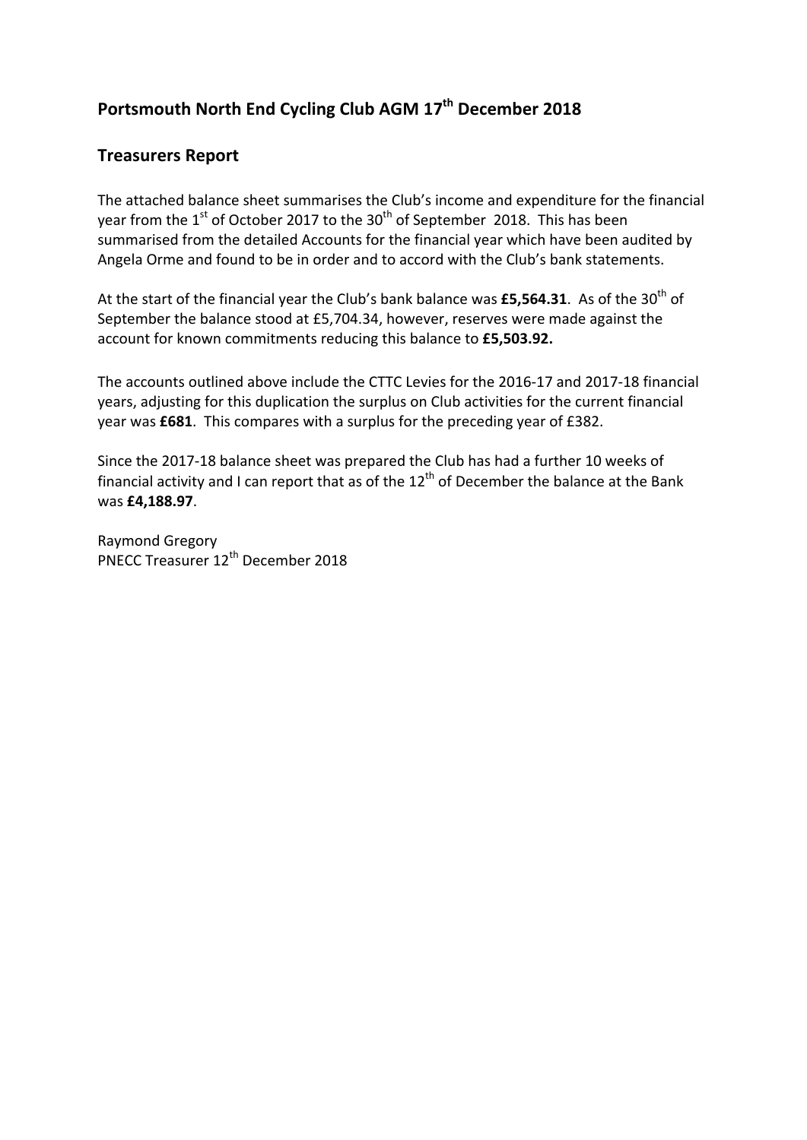# **Portsmouth North End Cycling Club AGM 17th December 2018**

# **Treasurers Report**

The attached balance sheet summarises the Club's income and expenditure for the financial year from the  $1<sup>st</sup>$  of October 2017 to the 30<sup>th</sup> of September 2018. This has been summarised from the detailed Accounts for the financial year which have been audited by Angela Orme and found to be in order and to accord with the Club's bank statements.

At the start of the financial year the Club's bank balance was £5,564.31. As of the 30<sup>th</sup> of September the balance stood at £5,704.34, however, reserves were made against the account for known commitments reducing this balance to **£5,503.92.**

The accounts outlined above include the CTTC Levies for the 2016‐17 and 2017‐18 financial years, adjusting for this duplication the surplus on Club activities for the current financial year was **£681**. This compares with a surplus for the preceding year of £382.

Since the 2017‐18 balance sheet was prepared the Club has had a further 10 weeks of financial activity and I can report that as of the  $12<sup>th</sup>$  of December the balance at the Bank was **£4,188.97**.

Raymond Gregory PNECC Treasurer 12th December 2018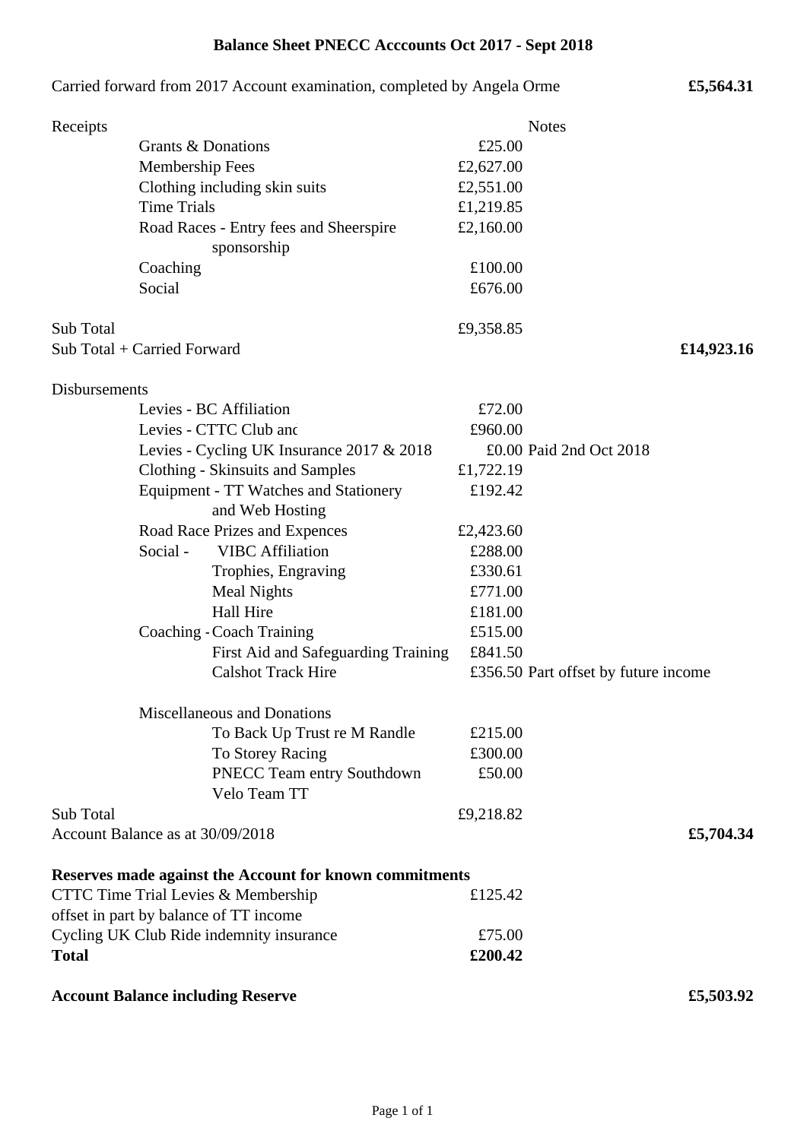| Carried forward from 2017 Account examination, completed by Angela Orme<br>£5,564.31 |                    |                                                         |           |                                      |
|--------------------------------------------------------------------------------------|--------------------|---------------------------------------------------------|-----------|--------------------------------------|
| Receipts                                                                             |                    |                                                         |           | <b>Notes</b>                         |
|                                                                                      | Grants & Donations |                                                         | £25.00    |                                      |
|                                                                                      | Membership Fees    |                                                         | £2,627.00 |                                      |
|                                                                                      |                    | Clothing including skin suits                           | £2,551.00 |                                      |
|                                                                                      | <b>Time Trials</b> |                                                         | £1,219.85 |                                      |
|                                                                                      |                    | Road Races - Entry fees and Sheerspire                  | £2,160.00 |                                      |
|                                                                                      |                    | sponsorship                                             |           |                                      |
|                                                                                      | Coaching           |                                                         | £100.00   |                                      |
|                                                                                      | Social             |                                                         | £676.00   |                                      |
|                                                                                      |                    |                                                         |           |                                      |
| Sub Total                                                                            |                    |                                                         | £9,358.85 |                                      |
| Sub Total + Carried Forward                                                          |                    |                                                         |           | £14,923.16                           |
|                                                                                      |                    |                                                         |           |                                      |
| <b>Disbursements</b>                                                                 |                    |                                                         |           |                                      |
|                                                                                      |                    | Levies - BC Affiliation                                 | £72.00    |                                      |
|                                                                                      |                    | Levies - CTTC Club and                                  | £960.00   |                                      |
|                                                                                      |                    | Levies - Cycling UK Insurance 2017 & 2018               |           | £0.00 Paid 2nd Oct 2018              |
|                                                                                      |                    | <b>Clothing - Skinsuits and Samples</b>                 | £1,722.19 |                                      |
|                                                                                      |                    | Equipment - TT Watches and Stationery                   | £192.42   |                                      |
|                                                                                      |                    | and Web Hosting                                         |           |                                      |
|                                                                                      |                    | Road Race Prizes and Expences                           | £2,423.60 |                                      |
|                                                                                      | Social -           | <b>VIBC</b> Affiliation                                 | £288.00   |                                      |
|                                                                                      |                    | Trophies, Engraving                                     | £330.61   |                                      |
|                                                                                      |                    | Meal Nights                                             | £771.00   |                                      |
|                                                                                      |                    | <b>Hall Hire</b>                                        | £181.00   |                                      |
|                                                                                      |                    | Coaching - Coach Training                               | £515.00   |                                      |
|                                                                                      |                    | First Aid and Safeguarding Training                     | £841.50   |                                      |
|                                                                                      |                    | <b>Calshot Track Hire</b>                               |           | £356.50 Part offset by future income |
|                                                                                      |                    |                                                         |           |                                      |
|                                                                                      |                    | <b>Miscellaneous and Donations</b>                      |           |                                      |
|                                                                                      |                    | To Back Up Trust re M Randle                            | £215.00   |                                      |
|                                                                                      |                    | To Storey Racing                                        | £300.00   |                                      |
|                                                                                      |                    | PNECC Team entry Southdown                              | £50.00    |                                      |
|                                                                                      |                    | Velo Team TT                                            |           |                                      |
| Sub Total                                                                            |                    |                                                         | £9,218.82 |                                      |
| Account Balance as at 30/09/2018                                                     |                    |                                                         |           | £5,704.34                            |
|                                                                                      |                    |                                                         |           |                                      |
|                                                                                      |                    | Reserves made against the Account for known commitments |           |                                      |
|                                                                                      |                    | CTTC Time Trial Levies & Membership                     | £125.42   |                                      |
|                                                                                      |                    | offset in part by balance of TT income                  |           |                                      |
| Cycling UK Club Ride indemnity insurance                                             |                    | £75.00                                                  |           |                                      |
| <b>Total</b>                                                                         |                    |                                                         | £200.42   |                                      |
|                                                                                      |                    | <b>Account Balance including Reserve</b>                |           | £5,503.92                            |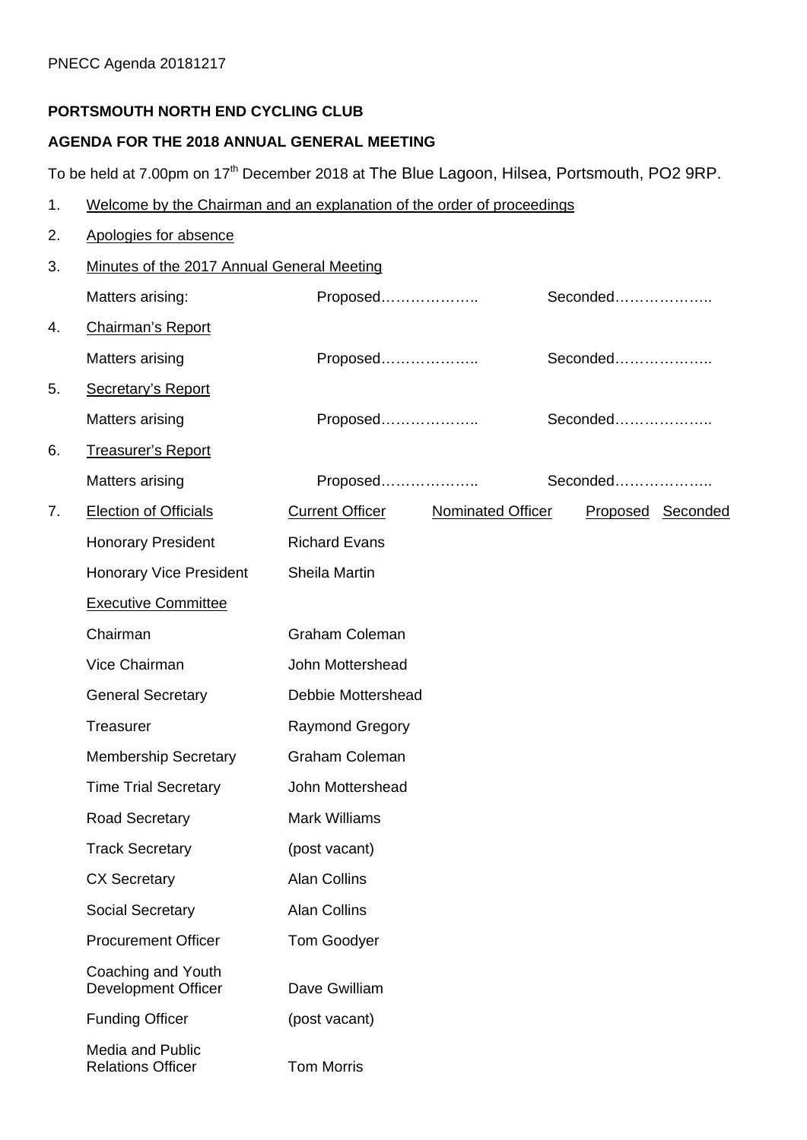## **PORTSMOUTH NORTH END CYCLING CLUB**

# **AGENDA FOR THE 2018 ANNUAL GENERAL MEETING**

To be held at 7.00pm on 17<sup>th</sup> December 2018 at The Blue Lagoon, Hilsea, Portsmouth, PO2 9RP.

- 1. Welcome by the Chairman and an explanation of the order of proceedings
- 2. Apologies for absence

| 3. | Minutes of the 2017 Annual General Meeting          |                                                    |                   |  |  |
|----|-----------------------------------------------------|----------------------------------------------------|-------------------|--|--|
|    | Matters arising:                                    | Proposed                                           | Seconded          |  |  |
| 4. | <b>Chairman's Report</b>                            |                                                    |                   |  |  |
|    | <b>Matters arising</b>                              | Proposed                                           | Seconded          |  |  |
| 5. | <b>Secretary's Report</b>                           |                                                    |                   |  |  |
|    | Matters arising                                     | Proposed                                           | Seconded          |  |  |
| 6. | Treasurer's Report                                  |                                                    |                   |  |  |
|    | <b>Matters arising</b>                              | Proposed                                           | Seconded          |  |  |
| 7. | <b>Election of Officials</b>                        | <b>Current Officer</b><br><b>Nominated Officer</b> | Proposed Seconded |  |  |
|    | <b>Honorary President</b>                           | <b>Richard Evans</b>                               |                   |  |  |
|    | <b>Honorary Vice President</b>                      | Sheila Martin                                      |                   |  |  |
|    | <b>Executive Committee</b>                          |                                                    |                   |  |  |
|    | Chairman                                            | Graham Coleman                                     |                   |  |  |
|    | Vice Chairman                                       | John Mottershead                                   |                   |  |  |
|    | <b>General Secretary</b>                            | Debbie Mottershead                                 |                   |  |  |
|    | Treasurer                                           | <b>Raymond Gregory</b>                             |                   |  |  |
|    | <b>Membership Secretary</b>                         | Graham Coleman                                     |                   |  |  |
|    | <b>Time Trial Secretary</b>                         | John Mottershead                                   |                   |  |  |
|    | Road Secretary                                      | <b>Mark Williams</b>                               |                   |  |  |
|    | <b>Track Secretary</b>                              | (post vacant)                                      |                   |  |  |
|    | <b>CX Secretary</b>                                 | <b>Alan Collins</b>                                |                   |  |  |
|    | <b>Social Secretary</b>                             | <b>Alan Collins</b>                                |                   |  |  |
|    | <b>Procurement Officer</b>                          | <b>Tom Goodyer</b>                                 |                   |  |  |
|    | Coaching and Youth<br><b>Development Officer</b>    | Dave Gwilliam                                      |                   |  |  |
|    | <b>Funding Officer</b>                              | (post vacant)                                      |                   |  |  |
|    | <b>Media and Public</b><br><b>Relations Officer</b> | <b>Tom Morris</b>                                  |                   |  |  |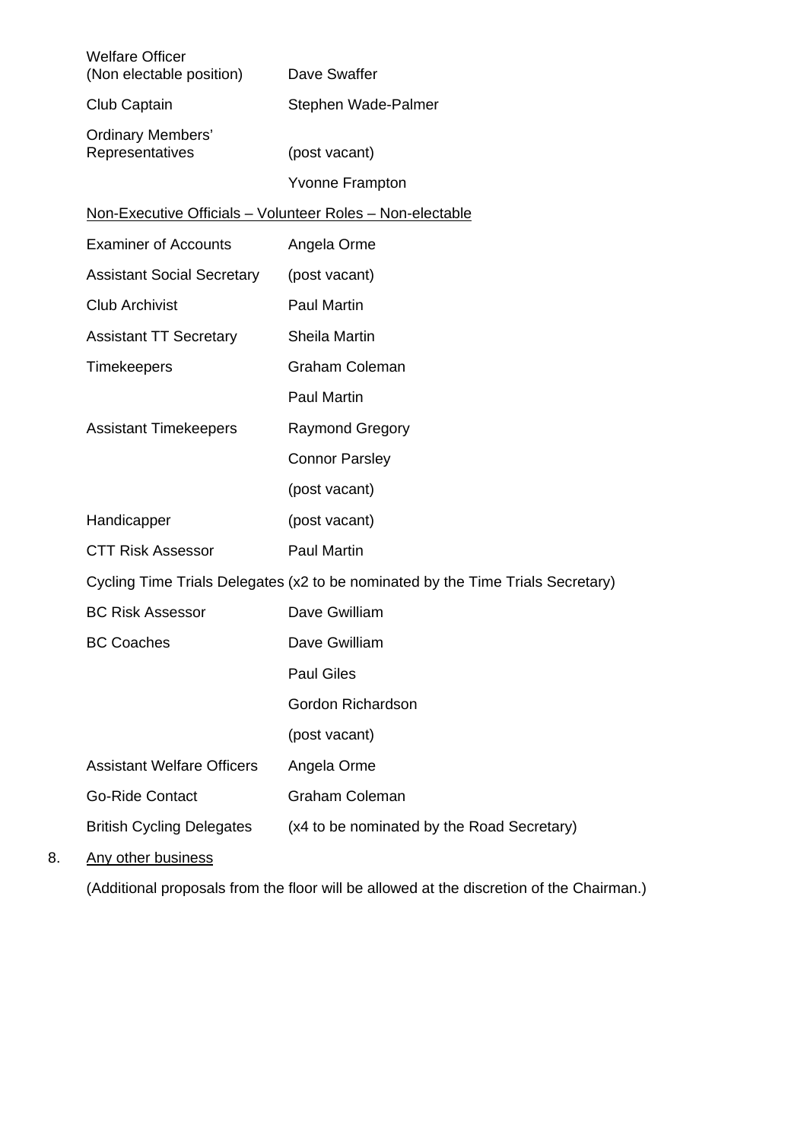| <b>Welfare Officer</b><br>(Non electable position) | Dave Swaffer                                                                    |
|----------------------------------------------------|---------------------------------------------------------------------------------|
| Club Captain                                       | Stephen Wade-Palmer                                                             |
| <b>Ordinary Members'</b><br>Representatives        | (post vacant)                                                                   |
|                                                    | <b>Yvonne Frampton</b>                                                          |
|                                                    | Non-Executive Officials - Volunteer Roles - Non-electable                       |
| <b>Examiner of Accounts</b>                        | Angela Orme                                                                     |
| <b>Assistant Social Secretary</b>                  | (post vacant)                                                                   |
| <b>Club Archivist</b>                              | <b>Paul Martin</b>                                                              |
| <b>Assistant TT Secretary</b>                      | Sheila Martin                                                                   |
| <b>Timekeepers</b>                                 | Graham Coleman                                                                  |
|                                                    | <b>Paul Martin</b>                                                              |
| <b>Assistant Timekeepers</b>                       | <b>Raymond Gregory</b>                                                          |
|                                                    | <b>Connor Parsley</b>                                                           |
|                                                    | (post vacant)                                                                   |
| Handicapper                                        | (post vacant)                                                                   |
| <b>CTT Risk Assessor</b>                           | <b>Paul Martin</b>                                                              |
|                                                    | Cycling Time Trials Delegates (x2 to be nominated by the Time Trials Secretary) |
| <b>BC Risk Assessor</b>                            | Dave Gwilliam                                                                   |
| <b>BC Coaches</b>                                  | Dave Gwilliam                                                                   |
|                                                    | <b>Paul Giles</b>                                                               |
|                                                    | Gordon Richardson                                                               |
|                                                    | (post vacant)                                                                   |
| <b>Assistant Welfare Officers</b>                  | Angela Orme                                                                     |
| <b>Go-Ride Contact</b>                             | <b>Graham Coleman</b>                                                           |
| <b>British Cycling Delegates</b>                   | (x4 to be nominated by the Road Secretary)                                      |
| $Ann$ other business                               |                                                                                 |

8. Any other business

(Additional proposals from the floor will be allowed at the discretion of the Chairman.)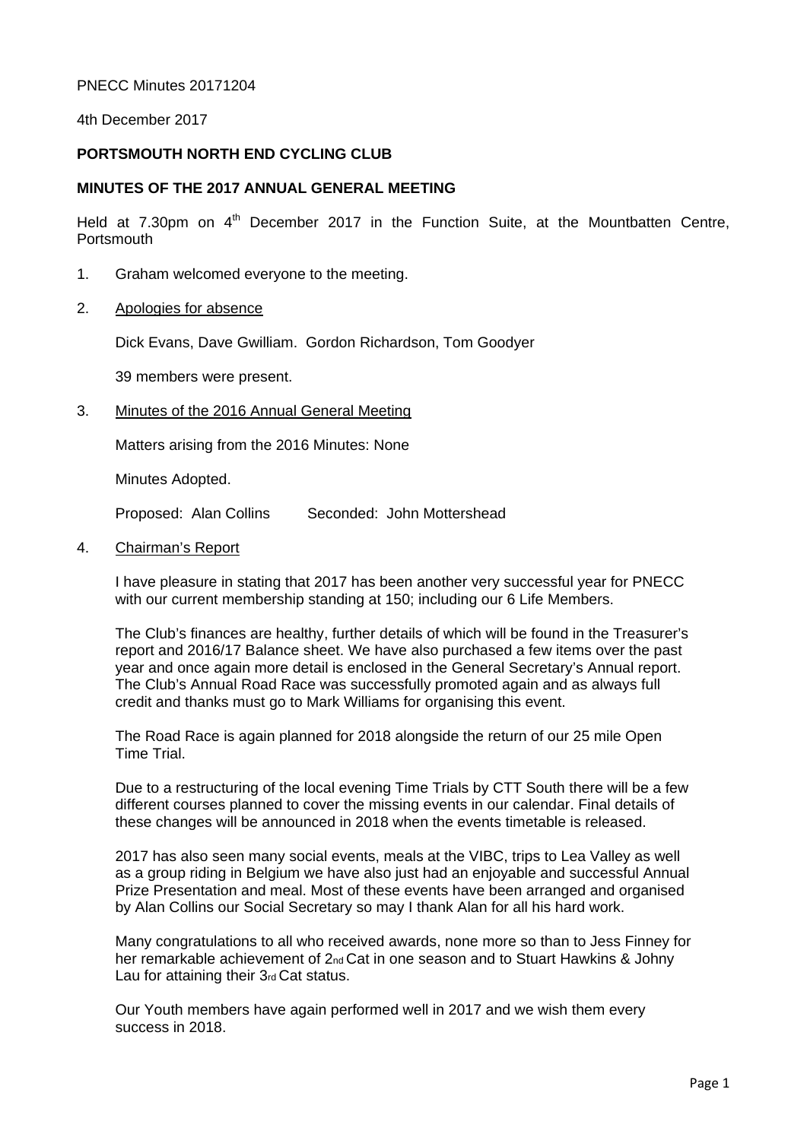#### PNECC Minutes 20171204

4th December 2017

#### **PORTSMOUTH NORTH END CYCLING CLUB**

#### **MINUTES OF THE 2017 ANNUAL GENERAL MEETING**

Held at  $7.30$ pm on  $4<sup>th</sup>$  December 2017 in the Function Suite, at the Mountbatten Centre, **Portsmouth** 

- 1. Graham welcomed everyone to the meeting.
- 2. Apologies for absence

Dick Evans, Dave Gwilliam. Gordon Richardson, Tom Goodyer

39 members were present.

3. Minutes of the 2016 Annual General Meeting

Matters arising from the 2016 Minutes: None

Minutes Adopted.

Proposed: Alan Collins Seconded: John Mottershead

4. Chairman's Report

I have pleasure in stating that 2017 has been another very successful year for PNECC with our current membership standing at 150; including our 6 Life Members.

The Club's finances are healthy, further details of which will be found in the Treasurer's report and 2016/17 Balance sheet. We have also purchased a few items over the past year and once again more detail is enclosed in the General Secretary's Annual report. The Club's Annual Road Race was successfully promoted again and as always full credit and thanks must go to Mark Williams for organising this event.

The Road Race is again planned for 2018 alongside the return of our 25 mile Open Time Trial.

Due to a restructuring of the local evening Time Trials by CTT South there will be a few different courses planned to cover the missing events in our calendar. Final details of these changes will be announced in 2018 when the events timetable is released.

2017 has also seen many social events, meals at the VIBC, trips to Lea Valley as well as a group riding in Belgium we have also just had an enjoyable and successful Annual Prize Presentation and meal. Most of these events have been arranged and organised by Alan Collins our Social Secretary so may I thank Alan for all his hard work.

Many congratulations to all who received awards, none more so than to Jess Finney for her remarkable achievement of 2<sub>nd</sub> Cat in one season and to Stuart Hawkins & Johny Lau for attaining their 3rd Cat status.

Our Youth members have again performed well in 2017 and we wish them every success in 2018.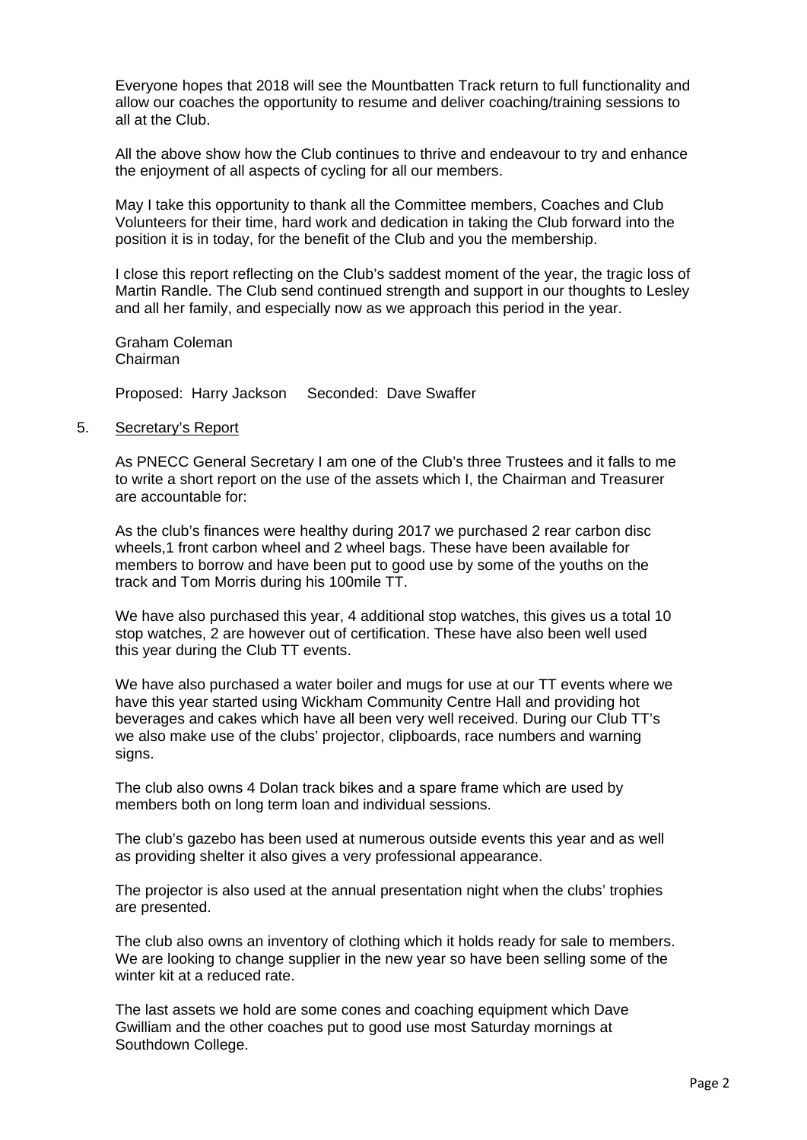Everyone hopes that 2018 will see the Mountbatten Track return to full functionality and allow our coaches the opportunity to resume and deliver coaching/training sessions to all at the Club.

All the above show how the Club continues to thrive and endeavour to try and enhance the enjoyment of all aspects of cycling for all our members.

May I take this opportunity to thank all the Committee members, Coaches and Club Volunteers for their time, hard work and dedication in taking the Club forward into the position it is in today, for the benefit of the Club and you the membership.

I close this report reflecting on the Club's saddest moment of the year, the tragic loss of Martin Randle. The Club send continued strength and support in our thoughts to Lesley and all her family, and especially now as we approach this period in the year.

Graham Coleman Chairman

Proposed: Harry Jackson Seconded: Dave Swaffer

#### 5. Secretary's Report

As PNECC General Secretary I am one of the Club's three Trustees and it falls to me to write a short report on the use of the assets which I, the Chairman and Treasurer are accountable for:

As the club's finances were healthy during 2017 we purchased 2 rear carbon disc wheels,1 front carbon wheel and 2 wheel bags. These have been available for members to borrow and have been put to good use by some of the youths on the track and Tom Morris during his 100mile TT.

We have also purchased this year, 4 additional stop watches, this gives us a total 10 stop watches, 2 are however out of certification. These have also been well used this year during the Club TT events.

We have also purchased a water boiler and mugs for use at our TT events where we have this year started using Wickham Community Centre Hall and providing hot beverages and cakes which have all been very well received. During our Club TT's we also make use of the clubs' projector, clipboards, race numbers and warning signs.

The club also owns 4 Dolan track bikes and a spare frame which are used by members both on long term loan and individual sessions.

The club's gazebo has been used at numerous outside events this year and as well as providing shelter it also gives a very professional appearance.

The projector is also used at the annual presentation night when the clubs' trophies are presented.

The club also owns an inventory of clothing which it holds ready for sale to members. We are looking to change supplier in the new year so have been selling some of the winter kit at a reduced rate.

The last assets we hold are some cones and coaching equipment which Dave Gwilliam and the other coaches put to good use most Saturday mornings at Southdown College.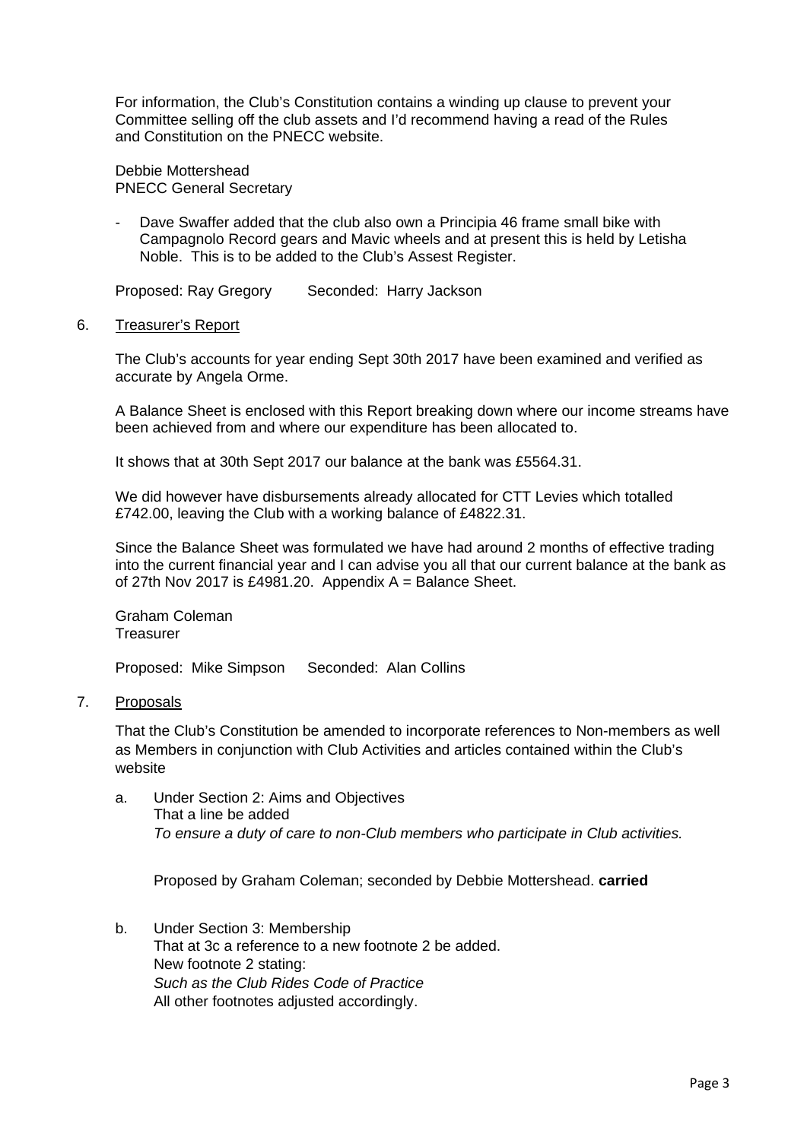For information, the Club's Constitution contains a winding up clause to prevent your Committee selling off the club assets and I'd recommend having a read of the Rules and Constitution on the PNECC website.

Debbie Mottershead PNECC General Secretary

Dave Swaffer added that the club also own a Principia 46 frame small bike with Campagnolo Record gears and Mavic wheels and at present this is held by Letisha Noble. This is to be added to the Club's Assest Register.

Proposed: Ray Gregory Seconded: Harry Jackson

#### 6. Treasurer's Report

The Club's accounts for year ending Sept 30th 2017 have been examined and verified as accurate by Angela Orme.

A Balance Sheet is enclosed with this Report breaking down where our income streams have been achieved from and where our expenditure has been allocated to.

It shows that at 30th Sept 2017 our balance at the bank was £5564.31.

We did however have disbursements already allocated for CTT Levies which totalled £742.00, leaving the Club with a working balance of £4822.31.

Since the Balance Sheet was formulated we have had around 2 months of effective trading into the current financial year and I can advise you all that our current balance at the bank as of 27th Nov 2017 is £4981.20. Appendix  $A =$  Balance Sheet.

Graham Coleman **Treasurer** 

Proposed: Mike Simpson Seconded: Alan Collins

#### 7. Proposals

That the Club's Constitution be amended to incorporate references to Non-members as well as Members in conjunction with Club Activities and articles contained within the Club's website

a. Under Section 2: Aims and Objectives That a line be added *To ensure a duty of care to non-Club members who participate in Club activities.* 

Proposed by Graham Coleman; seconded by Debbie Mottershead. **carried**

b. Under Section 3: Membership That at 3c a reference to a new footnote 2 be added. New footnote 2 stating: *Such as the Club Rides Code of Practice*  All other footnotes adjusted accordingly.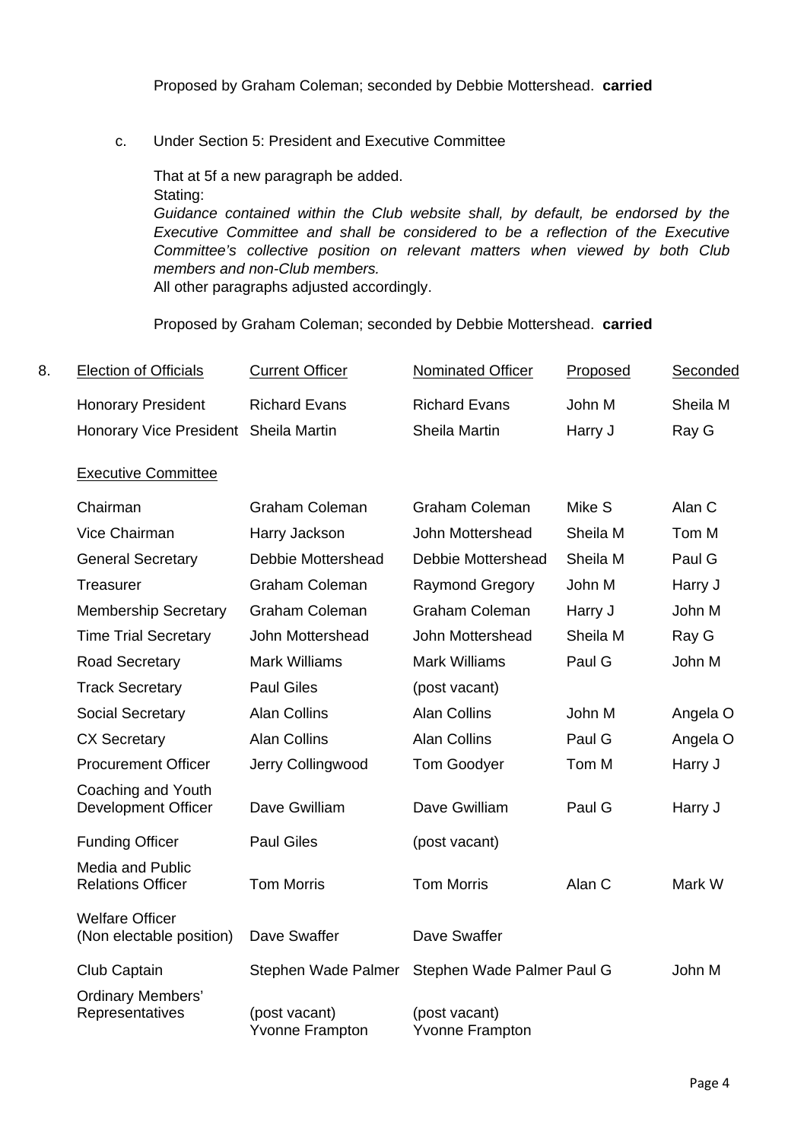c. Under Section 5: President and Executive Committee

That at 5f a new paragraph be added. Stating: *Guidance contained within the Club website shall, by default, be endorsed by the Executive Committee and shall be considered to be a reflection of the Executive Committee's collective position on relevant matters when viewed by both Club members and non-Club members.*  All other paragraphs adjusted accordingly.

Proposed by Graham Coleman; seconded by Debbie Mottershead. **carried**

| 8. | <b>Election of Officials</b>          | <b>Current Officer</b> | Nominated Officer    | Proposed | Seconded |
|----|---------------------------------------|------------------------|----------------------|----------|----------|
|    | <b>Honorary President</b>             | <b>Richard Evans</b>   | <b>Richard Evans</b> | John M   | Sheila M |
|    | Honorary Vice President Sheila Martin |                        | Sheila Martin        | Harry J  | Ray G    |

## Executive Committee

| Chairman                                            | <b>Graham Coleman</b>                   | <b>Graham Coleman</b>                   | Mike S   | Alan C   |
|-----------------------------------------------------|-----------------------------------------|-----------------------------------------|----------|----------|
| Vice Chairman                                       | Harry Jackson                           | John Mottershead                        | Sheila M | Tom M    |
| <b>General Secretary</b>                            | Debbie Mottershead                      | Debbie Mottershead                      | Sheila M | Paul G   |
| Treasurer                                           | <b>Graham Coleman</b>                   | <b>Raymond Gregory</b>                  | John M   | Harry J  |
| <b>Membership Secretary</b>                         | <b>Graham Coleman</b>                   | <b>Graham Coleman</b>                   | Harry J  | John M   |
| <b>Time Trial Secretary</b>                         | John Mottershead                        | John Mottershead                        | Sheila M | Ray G    |
| <b>Road Secretary</b>                               | <b>Mark Williams</b>                    | <b>Mark Williams</b>                    | Paul G   | John M   |
| <b>Track Secretary</b>                              | <b>Paul Giles</b>                       | (post vacant)                           |          |          |
| <b>Social Secretary</b>                             | <b>Alan Collins</b>                     | <b>Alan Collins</b>                     | John M   | Angela O |
| <b>CX Secretary</b>                                 | <b>Alan Collins</b>                     | <b>Alan Collins</b>                     | Paul G   | Angela O |
| <b>Procurement Officer</b>                          | Jerry Collingwood                       | <b>Tom Goodyer</b>                      | Tom M    | Harry J  |
| Coaching and Youth<br>Development Officer           | Dave Gwilliam                           | Dave Gwilliam                           | Paul G   | Harry J  |
| <b>Funding Officer</b>                              | <b>Paul Giles</b>                       | (post vacant)                           |          |          |
| <b>Media and Public</b><br><b>Relations Officer</b> | <b>Tom Morris</b>                       | <b>Tom Morris</b>                       | Alan C   | Mark W   |
| <b>Welfare Officer</b><br>(Non electable position)  | Dave Swaffer                            | Dave Swaffer                            |          |          |
| Club Captain                                        | Stephen Wade Palmer                     | Stephen Wade Palmer Paul G              |          | John M   |
| <b>Ordinary Members'</b><br>Representatives         | (post vacant)<br><b>Yvonne Frampton</b> | (post vacant)<br><b>Yvonne Frampton</b> |          |          |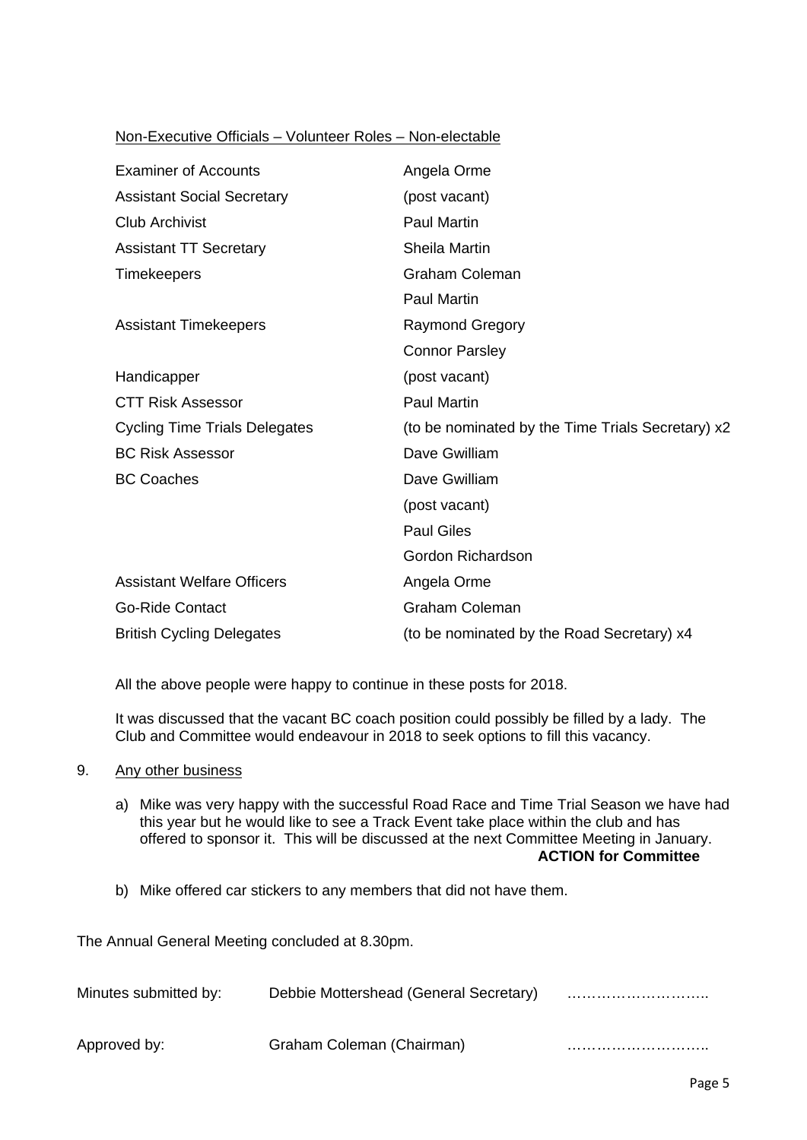## Non-Executive Officials – Volunteer Roles – Non-electable

| <b>Examiner of Accounts</b>          | Angela Orme                                       |
|--------------------------------------|---------------------------------------------------|
| <b>Assistant Social Secretary</b>    | (post vacant)                                     |
| <b>Club Archivist</b>                | <b>Paul Martin</b>                                |
| <b>Assistant TT Secretary</b>        | <b>Sheila Martin</b>                              |
| <b>Timekeepers</b>                   | <b>Graham Coleman</b>                             |
|                                      | <b>Paul Martin</b>                                |
| <b>Assistant Timekeepers</b>         | <b>Raymond Gregory</b>                            |
|                                      | <b>Connor Parsley</b>                             |
| Handicapper                          | (post vacant)                                     |
| <b>CTT Risk Assessor</b>             | <b>Paul Martin</b>                                |
| <b>Cycling Time Trials Delegates</b> | (to be nominated by the Time Trials Secretary) x2 |
| <b>BC Risk Assessor</b>              | Dave Gwilliam                                     |
| <b>BC Coaches</b>                    | Dave Gwilliam                                     |
|                                      | (post vacant)                                     |
|                                      | <b>Paul Giles</b>                                 |
|                                      | Gordon Richardson                                 |
| <b>Assistant Welfare Officers</b>    | Angela Orme                                       |
| <b>Go-Ride Contact</b>               | <b>Graham Coleman</b>                             |
| <b>British Cycling Delegates</b>     | (to be nominated by the Road Secretary) x4        |

All the above people were happy to continue in these posts for 2018.

It was discussed that the vacant BC coach position could possibly be filled by a lady. The Club and Committee would endeavour in 2018 to seek options to fill this vacancy.

- 9. Any other business
	- a) Mike was very happy with the successful Road Race and Time Trial Season we have had this year but he would like to see a Track Event take place within the club and has offered to sponsor it. This will be discussed at the next Committee Meeting in January. **ACTION for Committee**
	- b) Mike offered car stickers to any members that did not have them.

The Annual General Meeting concluded at 8.30pm.

| Minutes submitted by: | Debbie Mottershead (General Secretary) |  |
|-----------------------|----------------------------------------|--|
| Approved by:          | Graham Coleman (Chairman)              |  |